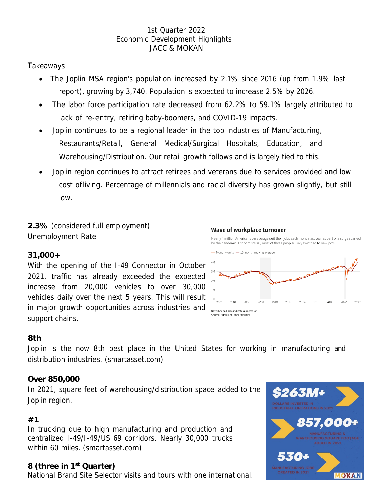### 1st Quarter 2022 Economic Development Highlights JACC & MOKAN

## Takeaways

- The Joplin MSA region's population increased by 2.1% since 2016 (up from 1.9% last report), growing by 3,740. Population is expected to increase 2.5% by 2026.
- The labor force participation rate decreased from 62.2% to 59.1% largely attributed to lack of re-entry, retiring baby-boomers, and COVID-19 impacts.
- Joplin continues to be a regional leader in the top industries of Manufacturing, Restaurants/Retail, General Medical/Surgical Hospitals, Education, and Warehousing/Distribution. Our retail growth follows and is largely tied to this.
- Joplin region continues to attract retirees and veterans due to services provided and low cost ofliving. Percentage of millennials and racial diversity has grown slightly, but still low.

**2.3%** (considered full employment) Unemployment Rate

#### Wave of workplace turnover

Nearly 4 million Americans on average quit their jobs each month last year as part of a surge sparked by the pandemic. Economists say most of those people likely switched to new jobs.

### **31,000+**

With the opening of the I-49 Connector in October 2021, traffic has already exceeded the expected increase from 20,000 vehicles to over 30,000 vehicles daily over the next 5 years. This will result in major growth opportunities across industries and support chains.



### **8th**

Joplin is the now 8th best place in the United States for working in manufacturing and distribution industries. (smartasset.com)

### **Over 850,000**

In 2021, square feet of warehousing/distribution space added to the Joplin region.

### **#1**

In trucking due to high manufacturing and production and centralized I-49/I-49/US 69 corridors. Nearly 30,000 trucks within 60 miles. (smartasset.com)

### **8 (three in 1st Quarter)**

National Brand Site Selector visits and tours with one international.

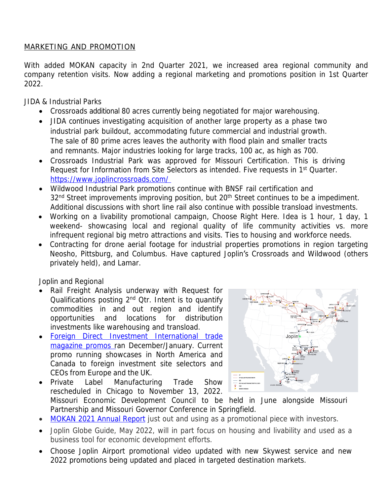## MARKETING AND PROMOTION

With added MOKAN capacity in 2nd Quarter 2021, we increased area regional community and company retention visits. Now adding a regional marketing and promotions position in 1st Quarter 2022.

JIDA & Industrial Parks

- Crossroads additional 80 acres currently being negotiated for major warehousing.
- JIDA continues investigating acquisition of another large property as a phase two industrial park buildout, accommodating future commercial and industrial growth. The sale of 80 prime acres leaves the authority with flood plain and smaller tracts and remnants. Major industries looking for large tracks, 100 ac, as high as 700.
- Crossroads Industrial Park was approved for Missouri Certification. This is driving Request for Information from Site Selectors as intended. Five requests in 1st Quarter. [https://www.joplincrossroads.com/](https://www.joplincrossroads.com/%20)
- Wildwood Industrial Park promotions continue with BNSF rail certification and 32<sup>nd</sup> Street improvements improving position, but 20<sup>th</sup> Street continues to be a impediment. Additional discussions with short line rail also continue with possible transload investments.
- Working on a livability promotional campaign, Choose Right Here. Idea is 1 hour, 1 day, 1 weekend- showcasing local and regional quality of life community activities vs. more infrequent regional big metro attractions and visits. Ties to housing and workforce needs.
- Contracting for drone aerial footage for industrial properties promotions in region targeting Neosho, Pittsburg, and Columbus. Have captured Joplin's Crossroads and Wildwood (others privately held), and Lamar.

Joplin and Regional

- Rail Freight Analysis underway with Request for Qualifications posting 2<sup>nd</sup> Qtr. Intent is to quantify commodities in and out region and identify opportunities and locations for distribution investments like warehousing and transload.
- [Foreign Direct Investment International trade](https://lnkd.in/dmkWbMqt) magazine promos ran December/January. Current promo running showcases in North America and Canada to foreign investment site selectors and CEOs from Europe and the UK.
- Private Label Manufacturing Trade Show rescheduled in Chicago to November 13, 2022.



Missouri Economic Development Council to be held in June alongside Missouri Partnership and Missouri Governor Conference in Springfield.

- [MOKAN 2021 Annual Report](https://youtu.be/0oc5OJ58GPg) just out and using as a promotional piece with investors.
- Joplin Globe Guide, May 2022, will in part focus on housing and livability and used as a business tool for economic development efforts.
- Choose Joplin Airport promotional video updated with new Skywest service and new 2022 promotions being updated and placed in targeted destination markets.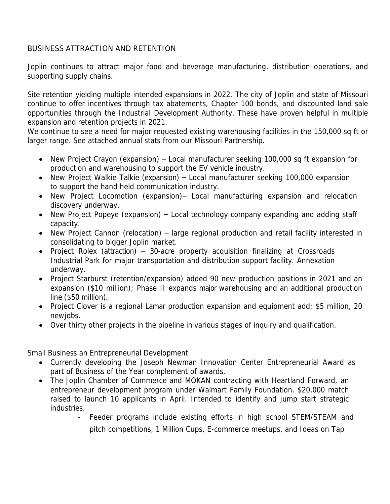## BUSINESS ATTRACTION AND RETENTION

Joplin continues to attract major food and beverage manufacturing, distribution operations, and supporting supply chains.

Site retention yielding multiple intended expansions in 2022. The city of Joplin and state of Missouri continue to offer incentives through tax abatements, Chapter 100 bonds, and discounted land sale opportunities through the Industrial Development Authority. These have proven helpful in multiple expansion and retention projects in 2021.

We continue to see a need for major requested existing warehousing facilities in the 150,000 sq ft or larger range. See attached annual stats from our Missouri Partnership.

- New Project Crayon (expansion) Local manufacturer seeking 100,000 sq ft expansion for production and warehousing to support the EV vehicle industry.
- New Project Walkie Talkie (expansion) Local manufacturer seeking 100,000 expansion to support the hand held communication industry.
- New Project Locomotion (expansion)– Local manufacturing expansion and relocation discovery underway.
- New Project Popeye (expansion) Local technology company expanding and adding staff capacity.
- New Project Cannon (relocation) large regional production and retail facility interested in consolidating to bigger Joplin market.
- Project Rolex (attraction) 30-acre property acquisition finalizing at Crossroads Industrial Park for major transportation and distribution support facility. Annexation underway.
- Project Starburst (retention/expansion) added 90 new production positions in 2021 and an expansion (\$10 million); Phase II expands major warehousing and an additional production line (\$50 million).
- Project Clover is a regional Lamar production expansion and equipment add; \$5 million, 20 newjobs.
- Over thirty other projects in the pipeline in various stages of inquiry and qualification.

Small Business an Entrepreneurial Development

- Currently developing the Joseph Newman Innovation Center Entrepreneurial Award as part of Business of the Year complement of awards.
- The Joplin Chamber of Commerce and MOKAN contracting with Heartland Forward, an entrepreneur development program under Walmart Family Foundation. \$20,000 match raised to launch 10 applicants in April. Intended to identify and jump start strategic industries.
	- Feeder programs include existing efforts in high school STEM/STEAM and pitch competitions, 1 Million Cups, E-commerce meetups, and Ideas on Tap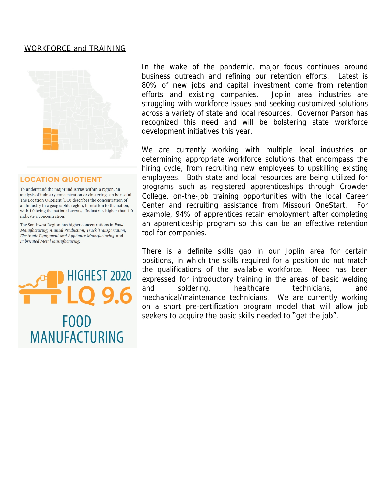#### WORKFORCE and TRAINING



#### **LOCATION QUOTIENT**

To understand the major industries within a region, an analysis of industry concentration or clustering can be useful. The Location Quotient (LQ) describes the concentration of an industry in a geographic region, in relation to the nation, with 1.0 being the national average. Industries higher than 1.0 indicate a concentration.

The Southwest Region has higher concentrations in Food Manufacturing, Animal Production, Truck Transportation, Electronic Equipment and Appliance Manufacturing, and Fabricated Metal Manufacturing.



In the wake of the pandemic, major focus continues around business outreach and refining our retention efforts. Latest is 80% of new jobs and capital investment come from retention efforts and existing companies. Joplin area industries are struggling with workforce issues and seeking customized solutions across a variety of state and local resources. Governor Parson has recognized this need and will be bolstering state workforce development initiatives this year.

We are currently working with multiple local industries on determining appropriate workforce solutions that encompass the hiring cycle, from recruiting new employees to upskilling existing employees. Both state and local resources are being utilized for programs such as registered apprenticeships through Crowder College, on-the-job training opportunities with the local Career Center and recruiting assistance from Missouri OneStart. For example, 94% of apprentices retain employment after completing an apprenticeship program so this can be an effective retention tool for companies.

There is a definite skills gap in our Joplin area for certain positions, in which the skills required for a position do not match the qualifications of the available workforce. Need has been expressed for introductory training in the areas of basic welding and soldering, healthcare technicians, and mechanical/maintenance technicians. We are currently working on a short pre-certification program model that will allow job seekers to acquire the basic skills needed to "get the job".